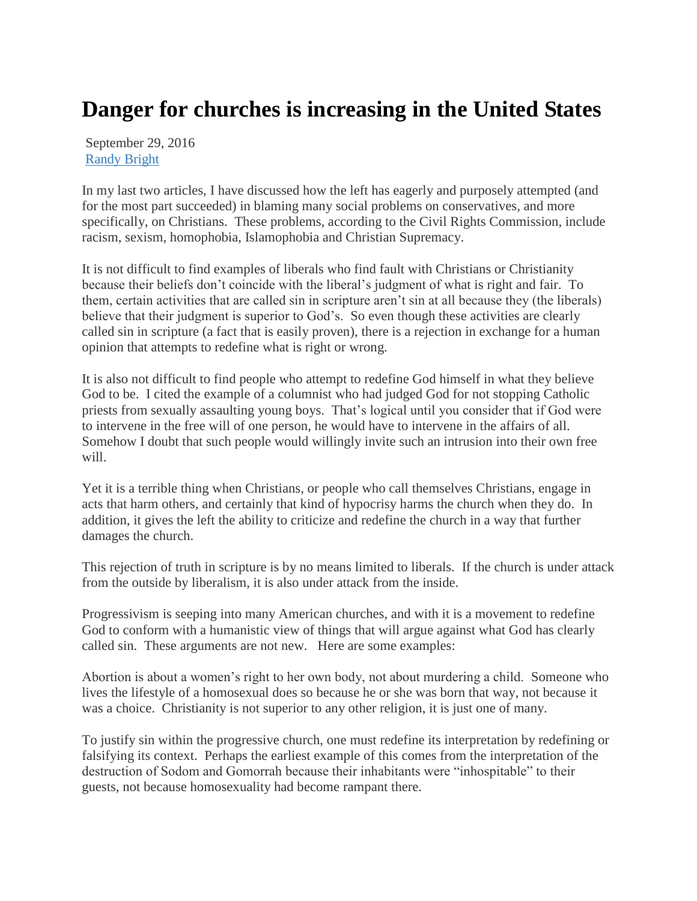## **Danger for churches is increasing in the United States**

September 29, 2016 [Randy Bright](http://tulsabeacon.com/author/randy-bright/)

In my last two articles, I have discussed how the left has eagerly and purposely attempted (and for the most part succeeded) in blaming many social problems on conservatives, and more specifically, on Christians. These problems, according to the Civil Rights Commission, include racism, sexism, homophobia, Islamophobia and Christian Supremacy.

It is not difficult to find examples of liberals who find fault with Christians or Christianity because their beliefs don't coincide with the liberal's judgment of what is right and fair. To them, certain activities that are called sin in scripture aren't sin at all because they (the liberals) believe that their judgment is superior to God's. So even though these activities are clearly called sin in scripture (a fact that is easily proven), there is a rejection in exchange for a human opinion that attempts to redefine what is right or wrong.

It is also not difficult to find people who attempt to redefine God himself in what they believe God to be. I cited the example of a columnist who had judged God for not stopping Catholic priests from sexually assaulting young boys. That's logical until you consider that if God were to intervene in the free will of one person, he would have to intervene in the affairs of all. Somehow I doubt that such people would willingly invite such an intrusion into their own free will.

Yet it is a terrible thing when Christians, or people who call themselves Christians, engage in acts that harm others, and certainly that kind of hypocrisy harms the church when they do. In addition, it gives the left the ability to criticize and redefine the church in a way that further damages the church.

This rejection of truth in scripture is by no means limited to liberals. If the church is under attack from the outside by liberalism, it is also under attack from the inside.

Progressivism is seeping into many American churches, and with it is a movement to redefine God to conform with a humanistic view of things that will argue against what God has clearly called sin. These arguments are not new. Here are some examples:

Abortion is about a women's right to her own body, not about murdering a child. Someone who lives the lifestyle of a homosexual does so because he or she was born that way, not because it was a choice. Christianity is not superior to any other religion, it is just one of many.

To justify sin within the progressive church, one must redefine its interpretation by redefining or falsifying its context. Perhaps the earliest example of this comes from the interpretation of the destruction of Sodom and Gomorrah because their inhabitants were "inhospitable" to their guests, not because homosexuality had become rampant there.